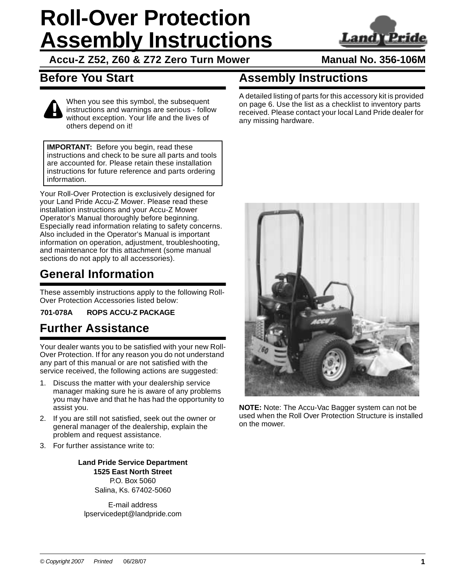# **Roll-Over Protection Assembly Instructions**



**Accu-Z Z52, Z60 & Z72 Zero Turn Mower**

## **Manual No. 356-106M**

## **Before You Start**

# **Assembly Instructions**



When you see this symbol, the subsequent instructions and warnings are serious - follow without exception. Your life and the lives of others depend on it!

**IMPORTANT:** Before you begin, read these instructions and check to be sure all parts and tools are accounted for. Please retain these installation instructions for future reference and parts ordering information.

Your Roll-Over Protection is exclusively designed for your Land Pride Accu-Z Mower. Please read these installation instructions and your Accu-Z Mower Operator's Manual thoroughly before beginning. Especially read information relating to safety concerns. Also included in the Operator's Manual is important information on operation, adjustment, troubleshooting, and maintenance for this attachment (some manual sections do not apply to all accessories).

## **General Information**

These assembly instructions apply to the following Roll-Over Protection Accessories listed below:

**701-078A ROPS ACCU-Z PACKAGE**

## **Further Assistance**

Your dealer wants you to be satisfied with your new Roll-Over Protection. If for any reason you do not understand any part of this manual or are not satisfied with the service received, the following actions are suggested:

- 1. Discuss the matter with your dealership service manager making sure he is aware of any problems you may have and that he has had the opportunity to assist you.
- 2. If you are still not satisfied, seek out the owner or general manager of the dealership, explain the problem and request assistance.
- 3. For further assistance write to:

**Land Pride Service Department 1525 East North Street** P.O. Box 5060 Salina, Ks. 67402-5060

E-mail address lpservicedept@landpride.com A detailed listing of parts for this accessory kit is provided on [page 6](#page-5-0). Use the list as a checklist to inventory parts received. Please contact your local Land Pride dealer for any missing hardware.



**NOTE:** Note: The Accu-Vac Bagger system can not be used when the Roll Over Protection Structure is installed on the mower.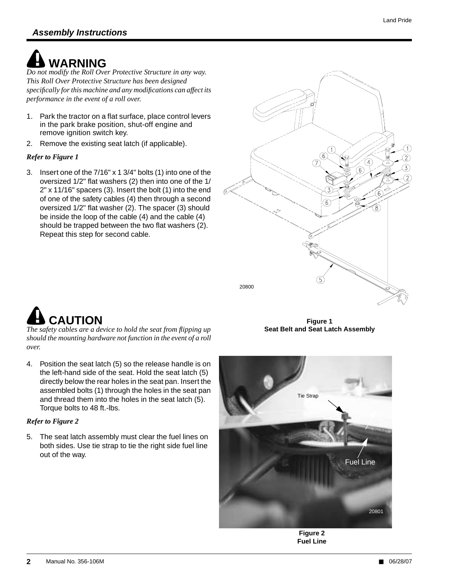# **! WARNING**

*Do not modify the Roll Over Protective Structure in any way. This Roll Over Protective Structure has been designed specifically for this machine and any modifications can affect its performance in the event of a roll over.*

- 1. Park the tractor on a flat surface, place control levers in the park brake position, shut-off engine and remove ignition switch key.
- 2. Remove the existing seat latch (if applicable).

#### *Refer to Figure 1*

3. Insert one of the 7/16" x 1 3/4" bolts (1) into one of the oversized 1/2" flat washers (2) then into one of the 1/ 2" x 11/16" spacers (3). Insert the bolt (1) into the end of one of the safety cables (4) then through a second oversized 1/2" flat washer (2). The spacer (3) should be inside the loop of the cable (4) and the cable (4) should be trapped between the two flat washers (2). Repeat this step for second cable.



# **! CAUTION**

*The safety cables are a device to hold the seat from flipping up should the mounting hardware not function in the event of a roll over.*

4. Position the seat latch (5) so the release handle is on the left-hand side of the seat. Hold the seat latch (5) directly below the rear holes in the seat pan. Insert the assembled bolts (1) through the holes in the seat pan and thread them into the holes in the seat latch (5). Torque bolts to 48 ft.-lbs.

### *Refer to Figure 2*

5. The seat latch assembly must clear the fuel lines on both sides. Use tie strap to tie the right side fuel line out of the way.

**Figure 1 Seat Belt and Seat Latch Assembly**



**Figure 2 Fuel Line**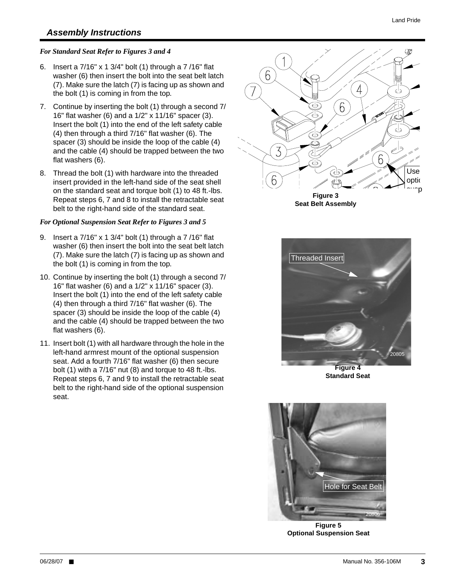### **Assembly Instructions**

#### *For Standard Seat Refer to Figures 3 and 4*

- 6. Insert a 7/16" x 1 3/4" bolt (1) through a 7 /16" flat washer (6) then insert the bolt into the seat belt latch (7). Make sure the latch (7) is facing up as shown and the bolt (1) is coming in from the top.
- 7. Continue by inserting the bolt (1) through a second 7/ 16" flat washer (6) and a 1/2" x 11/16" spacer (3). Insert the bolt (1) into the end of the left safety cable (4) then through a third 7/16" flat washer (6). The spacer (3) should be inside the loop of the cable (4) and the cable (4) should be trapped between the two flat washers (6).
- 8. Thread the bolt (1) with hardware into the threaded insert provided in the left-hand side of the seat shell on the standard seat and torque bolt (1) to 48 ft.-lbs. Repeat steps 6, 7 and 8 to install the retractable seat belt to the right-hand side of the standard seat.

#### *For Optional Suspension Seat Refer to Figures 3 and 5*

- 9. Insert a 7/16" x 1 3/4" bolt (1) through a 7 /16" flat washer (6) then insert the bolt into the seat belt latch (7). Make sure the latch (7) is facing up as shown and the bolt (1) is coming in from the top.
- 10. Continue by inserting the bolt (1) through a second 7/ 16" flat washer (6) and a 1/2" x 11/16" spacer (3). Insert the bolt (1) into the end of the left safety cable (4) then through a third 7/16" flat washer (6). The spacer (3) should be inside the loop of the cable (4) and the cable (4) should be trapped between the two flat washers (6).
- 11. Insert bolt (1) with all hardware through the hole in the left-hand armrest mount of the optional suspension seat. Add a fourth 7/16" flat washer (6) then secure bolt (1) with a 7/16" nut (8) and torque to 48 ft.-lbs. Repeat steps 6, 7 and 9 to install the retractable seat belt to the right-hand side of the optional suspension seat.



**Figure 3 Seat Belt Assembly**



**Figure 4 Standard Seat**



**Figure 5 Optional Suspension Seat**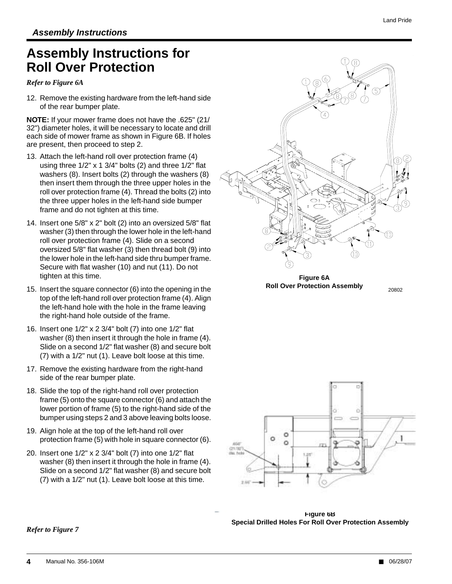## **Assembly Instructions for Roll Over Protection**

*Refer to Figure 6A*

12. Remove the existing hardware from the left-hand side of the rear bumper plate.

**NOTE:** If your mower frame does not have the .625" (21/ 32") diameter holes, it will be necessary to locate and drill each side of mower frame as shown in Figure 6B. If holes are present, then proceed to step 2.

- 13. Attach the left-hand roll over protection frame (4) using three 1/2" x 1 3/4" bolts (2) and three 1/2" flat washers (8). Insert bolts (2) through the washers (8) then insert them through the three upper holes in the roll over protection frame (4). Thread the bolts (2) into the three upper holes in the left-hand side bumper frame and do not tighten at this time.
- 14. Insert one 5/8" x 2" bolt (2) into an oversized 5/8" flat washer (3) then through the lower hole in the left-hand roll over protection frame (4). Slide on a second oversized 5/8" flat washer (3) then thread bolt (9) into the lower hole in the left-hand side thru bumper frame. Secure with flat washer (10) and nut (11). Do not tighten at this time.
- 15. Insert the square connector (6) into the opening in the top of the left-hand roll over protection frame (4). Align the left-hand hole with the hole in the frame leaving the right-hand hole outside of the frame.
- 16. Insert one 1/2" x 2 3/4" bolt (7) into one 1/2" flat washer (8) then insert it through the hole in frame (4). Slide on a second 1/2" flat washer (8) and secure bolt (7) with a 1/2" nut (1). Leave bolt loose at this time.
- 17. Remove the existing hardware from the right-hand side of the rear bumper plate.
- 18. Slide the top of the right-hand roll over protection frame (5) onto the square connector (6) and attach the lower portion of frame (5) to the right-hand side of the bumper using steps 2 and 3 above leaving bolts loose.
- 19. Align hole at the top of the left-hand roll over protection frame (5) with hole in square connector (6).
- 20. Insert one 1/2" x 2 3/4" bolt (7) into one 1/2" flat washer (8) then insert it through the hole in frame (4). Slide on a second 1/2" flat washer (8) and secure bolt (7) with a 1/2" nut (1). Leave bolt loose at this time.



**Figure 6A Roll Over Protection Assembly** 20802



**Figure 6B Special Drilled Holes For Roll Over Protection Assembly**

*Refer to Figure 7*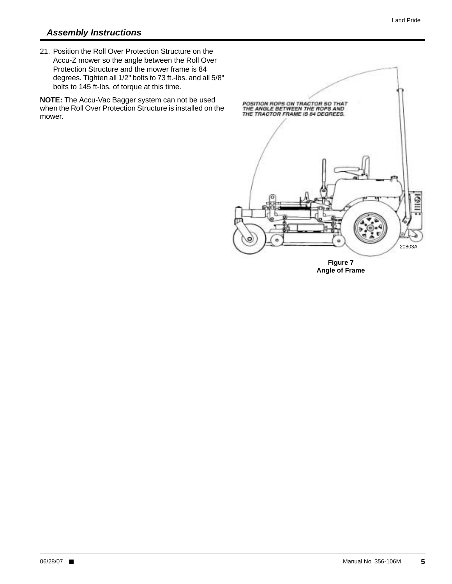### **Assembly Instructions**

21. Position the Roll Over Protection Structure on the Accu-Z mower so the angle between the Roll Over Protection Structure and the mower frame is 84 degrees. Tighten all 1/2" bolts to 73 ft.-lbs. and all 5/8" bolts to 145 ft-lbs. of torque at this time.

**NOTE:** The Accu-Vac Bagger system can not be used when the Roll Over Protection Structure is installed on the mower.



**Angle of Frame**